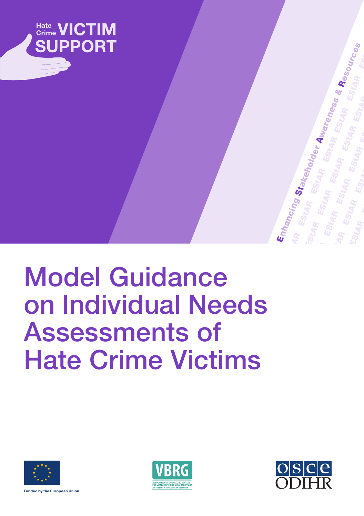

# Model Guidance on Individual Needs Assessments of Hate Crime Victims







ESTART STARFT

ESt<sub>AR</sub>

Stakeholder

Enhancing<br>AR EStua<br>Stup Estua

EStAR<sup>S</sup>

EStAR<br>StAR

EStAR<br>StAR

ESTA<br>ESTA

EStAR<sup>T</sup>

Awareness &

ESt<sub>AR</sub>

EStAR<br>EStAR

EStAR<br>EStAR

EStAR<sup>S</sup>

EStAR<sup>T</sup>

EStAR<sup>S</sup>

EStAR<br>StAR

ESt<sub>AR</sub>

Resources

P<br>Le

**Funded by the European Union**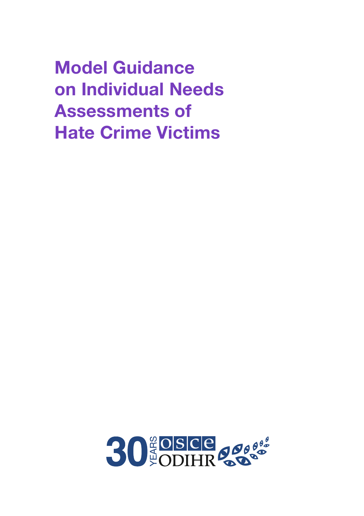Model Guidance on Individual Needs Assessments of Hate Crime Victims

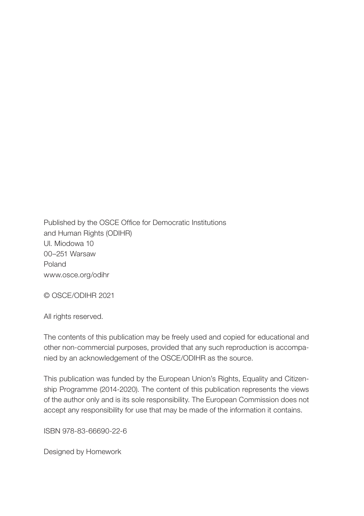Published by the OSCE Office for Democratic Institutions and Human Rights (ODIHR) Ul. Miodowa 10 00–251 Warsaw Poland www.osce.org/odihr

© OSCE/ODIHR 2021

All rights reserved.

The contents of this publication may be freely used and copied for educational and other non-commercial purposes, provided that any such reproduction is accompanied by an acknowledgement of the OSCE/ODIHR as the source.

This publication was funded by the European Union's Rights, Equality and Citizenship Programme (2014-2020). The content of this publication represents the views of the author only and is its sole responsibility. The European Commission does not accept any responsibility for use that may be made of the information it contains.

ISBN 978-83-66690-22-6

Designed by Homework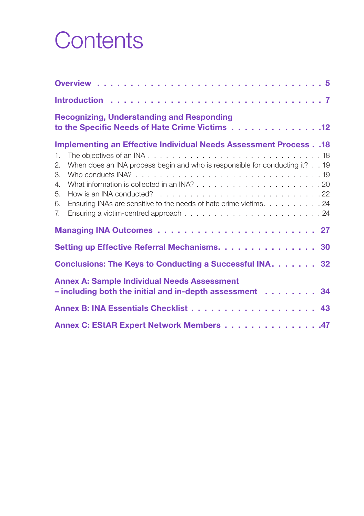## **Contents**

| <b>Recognizing, Understanding and Responding</b><br>to the Specific Needs of Hate Crime Victims 12                                                                                                                                                                       |
|--------------------------------------------------------------------------------------------------------------------------------------------------------------------------------------------------------------------------------------------------------------------------|
| <b>Implementing an Effective Individual Needs Assessment Process. .18</b><br>1.<br>When does an INA process begin and who is responsible for conducting it? 19<br>2.<br>3.<br>4.<br>5.<br>Ensuring INAs are sensitive to the needs of hate crime victims. 24<br>6.<br>7. |
|                                                                                                                                                                                                                                                                          |
| Setting up Effective Referral Mechanisms. 30                                                                                                                                                                                                                             |
| Conclusions: The Keys to Conducting a Successful INA. 32                                                                                                                                                                                                                 |
| <b>Annex A: Sample Individual Needs Assessment</b><br>- including both the initial and in-depth assessment 34                                                                                                                                                            |
|                                                                                                                                                                                                                                                                          |
| Annex C: EStAR Expert Network Members 47                                                                                                                                                                                                                                 |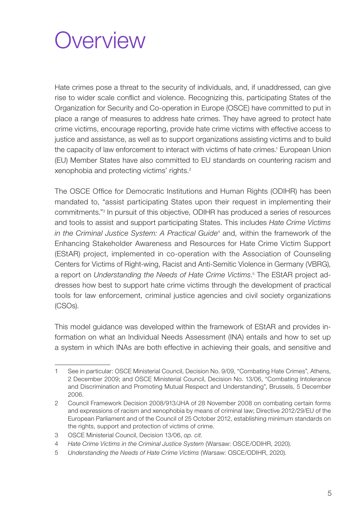### <span id="page-6-0"></span>**Overview**

Hate crimes pose a threat to the security of individuals, and, if unaddressed, can give rise to wider scale conflict and violence. Recognizing this, participating States of the Organization for Security and Co-operation in Europe (OSCE) have committed to put in place a range of measures to address hate crimes. They have agreed to protect hate crime victims, encourage reporting, provide hate crime victims with effective access to justice and assistance, as well as to support organizations assisting victims and to build the capacity of law enforcement to interact with victims of hate crimes.<sup>1</sup> European Union (EU) Member States have also committed to EU standards on countering racism and xenophobia and protecting victims' rights.2

The OSCE Office for Democratic Institutions and Human Rights (ODIHR) has been mandated to, "assist participating States upon their request in implementing their commitments."3 In pursuit of this objective, ODIHR has produced a series of resources and tools to assist and support participating States. This includes *Hate Crime Victims*  in the Criminal Justice System: A Practical Guide<sup>4</sup> and, within the framework of the Enhancing Stakeholder Awareness and Resources for Hate Crime Victim Support (EStAR) project, implemented in co-operation with the Association of Counseling Centers for Victims of Right-wing, Racist and Anti-Semitic Violence in Germany (VBRG), a report on *Understanding the Needs of Hate Crime Victims*. 5 The EStAR project addresses how best to support hate crime victims through the development of practical tools for law enforcement, criminal justice agencies and civil society organizations (CSOs).

This model guidance was developed within the framework of EStAR and provides information on what an Individual Needs Assessment (INA) entails and how to set up a system in which INAs are both effective in achieving their goals, and sensitive and

<sup>1</sup> See in particular: OSCE Ministerial Council, Decision No. 9/09, "[Combating Hate Crimes"](https://www.osce.org/cio/40695), Athens, 2 December 2009; and OSCE Ministerial Council, Decision No. 13/06, "[Combating Intolerance](https://www.osce.org/mc/23114) [and Discrimination and Promoting Mutual Respect and Understanding](https://www.osce.org/mc/23114)", Brussels, 5 December 2006.

<sup>2</sup> [Council Framework Decision 2008/913/JHA of 28 November 2008 on combating certain forms](https://eur-lex.europa.eu/legal-content/en/ALL/?uri=CELEX%3A32008F0913) [and expressions of racism and xenophobia by means of criminal law](https://eur-lex.europa.eu/legal-content/en/ALL/?uri=CELEX%3A32008F0913); [Directive 2012/29/EU of the](https://eur-lex.europa.eu/legal-content/en/TXT/?uri=CELEX%3A32012L0029) [European Parliament and of the Council of 25 October 2012, establishing minimum standards on](https://eur-lex.europa.eu/legal-content/en/TXT/?uri=CELEX%3A32012L0029) [the rights, support and protection of victims of crime](https://eur-lex.europa.eu/legal-content/en/TXT/?uri=CELEX%3A32012L0029).

<sup>3</sup> OSCE Ministerial Council, Decision 13/06, *op. cit.*

<sup>4</sup> *[Hate Crime Victims in the Criminal Justice System](https://www.osce.org/odihr/447028)* (Warsaw: OSCE/ODIHR, 2020).

<sup>5</sup> *[Understanding the Needs of Hate Crime Victims](https://www.osce.org/odihr/463011)* (Warsaw: OSCE/ODIHR, 2020).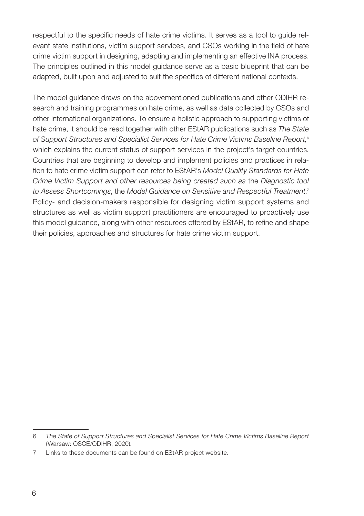respectful to the specific needs of hate crime victims. It serves as a tool to guide relevant state institutions, victim support services, and CSOs working in the field of hate crime victim support in designing, adapting and implementing an effective INA process. The principles outlined in this model guidance serve as a basic blueprint that can be adapted, built upon and adjusted to suit the specifics of different national contexts.

The model guidance draws on the abovementioned publications and other ODIHR research and training programmes on hate crime, as well as data collected by CSOs and other international organizations. To ensure a holistic approach to supporting victims of hate crime, it should be read together with other EStAR publications such as *The State of Support Structures and Specialist Services for Hate Crime Victims Baseline Report,*<sup>6</sup> which explains the current status of support services in the project's target countries. Countries that are beginning to develop and implement policies and practices in relation to hate crime victim support can refer to EStAR's *Model Quality Standards for Hate Crime Victim Support and other resources being created such as* the *Diagnostic tool to Assess Shortcomings*, the *Model Guidance on Sensitive and Respectful Treatment*. 7 Policy- and decision-makers responsible for designing victim support systems and structures as well as victim support practitioners are encouraged to proactively use this model guidance, along with other resources offered by EStAR, to refine and shape their policies, approaches and structures for hate crime victim support.

<sup>6</sup> *[The State of Support Structures and Specialist Services for Hate Crime Victims Baseline Report](https://www.osce.org/odihr/467916)* (Warsaw: OSCE/ODIHR, 2020).

<sup>7</sup> Links to these documents can be found on [EStAR project website](https://www.osce.org/odihr/hate-crime-victim-support).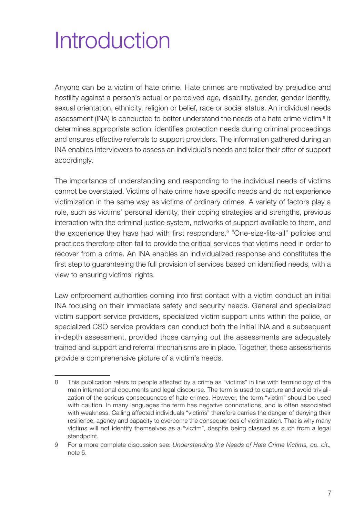## <span id="page-8-0"></span>**Introduction**

Anyone can be a victim of hate crime. Hate crimes are motivated by prejudice and hostility against a person's actual or perceived age, disability, gender, gender identity, sexual orientation, ethnicity, religion or belief, race or social status. An individual needs assessment (INA) is conducted to better understand the needs of a hate crime victim.<sup>8</sup> It determines appropriate action, identifies protection needs during criminal proceedings and ensures effective referrals to support providers. The information gathered during an INA enables interviewers to assess an individual's needs and tailor their offer of support accordingly.

The importance of understanding and responding to the individual needs of victims cannot be overstated. Victims of hate crime have specific needs and do not experience victimization in the same way as victims of ordinary crimes. A variety of factors play a role, such as victims' personal identity, their coping strategies and strengths, previous interaction with the criminal justice system, networks of support available to them, and the experience they have had with first responders.<sup>9</sup> "One-size-fits-all" policies and practices therefore often fail to provide the critical services that victims need in order to recover from a crime. An INA enables an individualized response and constitutes the first step to guaranteeing the full provision of services based on identified needs, with a view to ensuring victims' rights.

Law enforcement authorities coming into first contact with a victim conduct an initial INA focusing on their immediate safety and security needs. General and specialized victim support service providers, specialized victim support units within the police, or specialized CSO service providers can conduct both the initial INA and a subsequent in-depth assessment, provided those carrying out the assessments are adequately trained and support and referral mechanisms are in place. Together, these assessments provide a comprehensive picture of a victim's needs.

<sup>8</sup> This publication refers to people affected by a crime as "victims" in line with terminology of the main international documents and legal discourse. The term is used to capture and avoid trivialization of the serious consequences of hate crimes. However, the term "victim" should be used with caution. In many languages the term has negative connotations, and is often associated with weakness. Calling affected individuals "victims" therefore carries the danger of denying their resilience, agency and capacity to overcome the consequences of victimization. That is why many victims will not identify themselves as a "victim", despite being classed as such from a legal standpoint.

<sup>9</sup> For a more complete discussion see: *[Understanding the Needs of Hate Crime Victims,](https://www.osce.org/odihr/463011) op. cit*., note 5.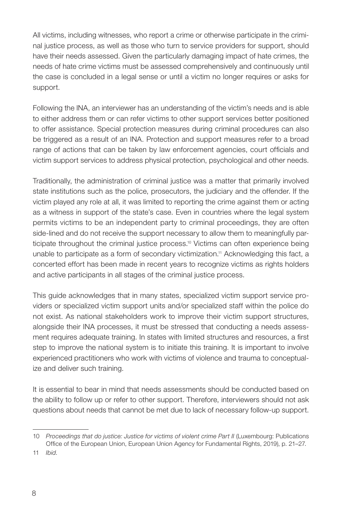All victims, including witnesses, who report a crime or otherwise participate in the criminal justice process, as well as those who turn to service providers for support, should have their needs assessed. Given the particularly damaging impact of hate crimes, the needs of hate crime victims must be assessed comprehensively and continuously until the case is concluded in a legal sense or until a victim no longer requires or asks for support.

Following the INA, an interviewer has an understanding of the victim's needs and is able to either address them or can refer victims to other support services better positioned to offer assistance. Special protection measures during criminal procedures can also be triggered as a result of an INA. Protection and support measures refer to a broad range of actions that can be taken by law enforcement agencies, court officials and victim support services to address physical protection, psychological and other needs.

Traditionally, the administration of criminal justice was a matter that primarily involved state institutions such as the police, prosecutors, the judiciary and the offender. If the victim played any role at all, it was limited to reporting the crime against them or acting as a witness in support of the state's case. Even in countries where the legal system permits victims to be an independent party to criminal proceedings, they are often side-lined and do not receive the support necessary to allow them to meaningfully participate throughout the criminal justice process.<sup>10</sup> Victims can often experience being unable to participate as a form of secondary victimization.<sup>11</sup> Acknowledging this fact, a concerted effort has been made in recent years to recognize victims as rights holders and active participants in all stages of the criminal justice process.

This guide acknowledges that in many states, specialized victim support service providers or specialized victim support units and/or specialized staff within the police do not exist. As national stakeholders work to improve their victim support structures, alongside their INA processes, it must be stressed that conducting a needs assessment requires adequate training. In states with limited structures and resources, a first step to improve the national system is to initiate this training. It is important to involve experienced practitioners who work with victims of violence and trauma to conceptualize and deliver such training.

It is essential to bear in mind that needs assessments should be conducted based on the ability to follow up or refer to other support. Therefore, interviewers should not ask questions about needs that cannot be met due to lack of necessary follow-up support.

<sup>10</sup> *[Proceedings that do justice: Justice for victims of violent crime Part II](https://fra.europa.eu/sites/default/files)* (Luxembourg: Publications Office of the European Union, European Union Agency for Fundamental Rights, 2019), p. 21–27.

<sup>11</sup> *Ibid*.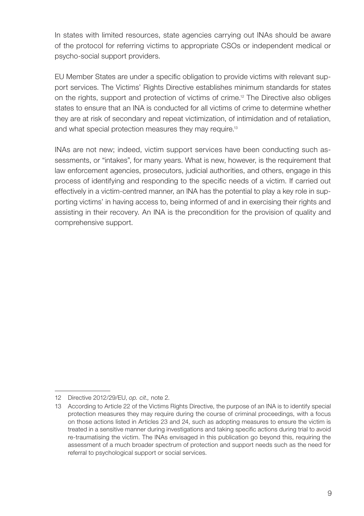In states with limited resources, state agencies carrying out INAs should be aware of the protocol for referring victims to appropriate CSOs or independent medical or psycho-social support providers.

EU Member States are under a specific obligation to provide victims with relevant support services. The Victims' Rights Directive establishes minimum standards for states on the rights, support and protection of victims of crime.12 The Directive also obliges states to ensure that an INA is conducted for all victims of crime to determine whether they are at risk of secondary and repeat victimization, of intimidation and of retaliation, and what special protection measures they may require.<sup>13</sup>

INAs are not new; indeed, victim support services have been conducting such assessments, or "intakes", for many years. What is new, however, is the requirement that law enforcement agencies, prosecutors, judicial authorities, and others, engage in this process of identifying and responding to the specific needs of a victim. If carried out effectively in a victim-centred manner, an INA has the potential to play a key role in supporting victims' in having access to, being informed of and in exercising their rights and assisting in their recovery. An INA is the precondition for the provision of quality and comprehensive support.

<sup>12</sup> Directive 2012/29/EU, *op. cit.,* note 2.

<sup>13</sup> According to Article 22 of the Victims Rights Directive, the purpose of an INA is to identify special protection measures they may require during the course of criminal proceedings, with a focus on those actions listed in Articles 23 and 24, such as adopting measures to ensure the victim is treated in a sensitive manner during investigations and taking specific actions during trial to avoid re-traumatising the victim. The INAs envisaged in this publication go beyond this, requiring the assessment of a much broader spectrum of protection and support needs such as the need for referral to psychological support or social services.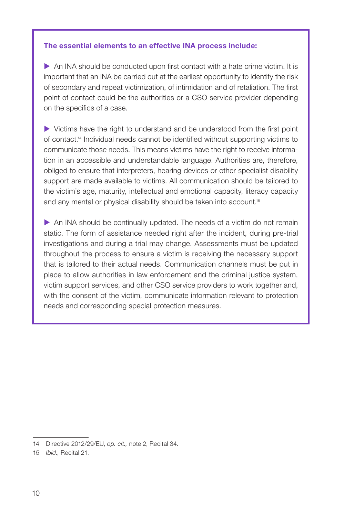#### The essential elements to an effective INA process include:

 $\triangleright$  An INA should be conducted upon first contact with a hate crime victim. It is important that an INA be carried out at the earliest opportunity to identify the risk of secondary and repeat victimization, of intimidation and of retaliation. The first point of contact could be the authorities or a CSO service provider depending on the specifics of a case.

 Victims have the right to understand and be understood from the first point of contact.14 Individual needs cannot be identified without supporting victims to communicate those needs. This means victims have the right to receive information in an accessible and understandable language. Authorities are, therefore, obliged to ensure that interpreters, hearing devices or other specialist disability support are made available to victims. All communication should be tailored to the victim's age, maturity, intellectual and emotional capacity, literacy capacity and any mental or physical disability should be taken into account.<sup>15</sup>

 $\triangleright$  An INA should be continually updated. The needs of a victim do not remain static. The form of assistance needed right after the incident, during pre-trial investigations and during a trial may change. Assessments must be updated throughout the process to ensure a victim is receiving the necessary support that is tailored to their actual needs. Communication channels must be put in place to allow authorities in law enforcement and the criminal justice system, victim support services, and other CSO service providers to work together and, with the consent of the victim, communicate information relevant to protection needs and corresponding special protection measures.

<sup>14</sup> Directive 2012/29/EU, *op. cit.,* note 2, Recital 34.

<sup>15</sup> *Ibid*., Recital 21.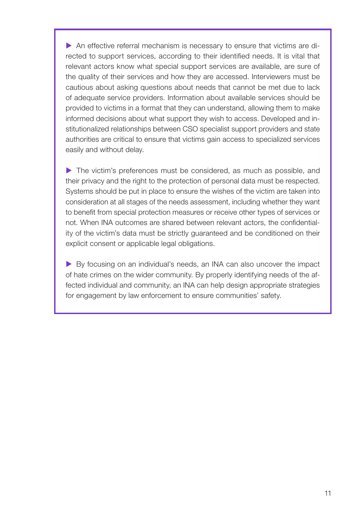An effective referral mechanism is necessary to ensure that victims are directed to support services, according to their identified needs. It is vital that relevant actors know what special support services are available, are sure of the quality of their services and how they are accessed. Interviewers must be cautious about asking questions about needs that cannot be met due to lack of adequate service providers. Information about available services should be provided to victims in a format that they can understand, allowing them to make informed decisions about what support they wish to access. Developed and institutionalized relationships between CSO specialist support providers and state authorities are critical to ensure that victims gain access to specialized services easily and without delay.

 The victim's preferences must be considered, as much as possible, and their privacy and the right to the protection of personal data must be respected. Systems should be put in place to ensure the wishes of the victim are taken into consideration at all stages of the needs assessment, including whether they want to benefit from special protection measures or receive other types of services or not. When INA outcomes are shared between relevant actors, the confidentiality of the victim's data must be strictly guaranteed and be conditioned on their explicit consent or applicable legal obligations.

 By focusing on an individual's needs, an INA can also uncover the impact of hate crimes on the wider community. By properly identifying needs of the affected individual and community, an INA can help design appropriate strategies for engagement by law enforcement to ensure communities' safety.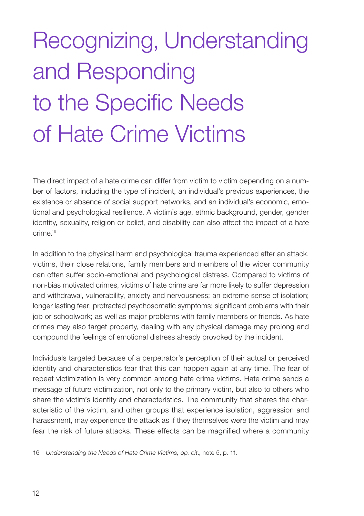# <span id="page-13-0"></span>Recognizing, Understanding and Responding to the Specific Needs of Hate Crime Victims

The direct impact of a hate crime can differ from victim to victim depending on a number of factors, including the type of incident, an individual's previous experiences, the existence or absence of social support networks, and an individual's economic, emotional and psychological resilience. A victim's age, ethnic background, gender, gender identity, sexuality, religion or belief, and disability can also affect the impact of a hate crime.16

In addition to the physical harm and psychological trauma experienced after an attack, victims, their close relations, family members and members of the wider community can often suffer socio-emotional and psychological distress. Compared to victims of non-bias motivated crimes, victims of hate crime are far more likely to suffer depression and withdrawal, vulnerability, anxiety and nervousness; an extreme sense of isolation; longer lasting fear; protracted psychosomatic symptoms; significant problems with their job or schoolwork; as well as major problems with family members or friends. As hate crimes may also target property, dealing with any physical damage may prolong and compound the feelings of emotional distress already provoked by the incident.

Individuals targeted because of a perpetrator's perception of their actual or perceived identity and characteristics fear that this can happen again at any time. The fear of repeat victimization is very common among hate crime victims. Hate crime sends a message of future victimization, not only to the primary victim, but also to others who share the victim's identity and characteristics. The community that shares the characteristic of the victim, and other groups that experience isolation, aggression and harassment, may experience the attack as if they themselves were the victim and may fear the risk of future attacks. These effects can be magnified where a community

<sup>16</sup> *[Understanding the Needs of Hate Crime Victims](https://www.osce.org/odihr/463011), op. cit*., note 5, p. 11.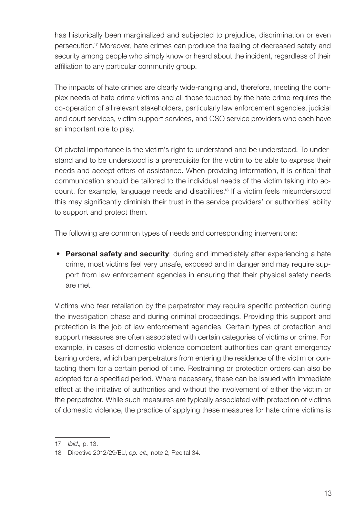has historically been marginalized and subjected to prejudice, discrimination or even persecution.17 Moreover, hate crimes can produce the feeling of decreased safety and security among people who simply know or heard about the incident, regardless of their affiliation to any particular community group.

The impacts of hate crimes are clearly wide-ranging and, therefore, meeting the complex needs of hate crime victims and all those touched by the hate crime requires the co-operation of all relevant stakeholders, particularly law enforcement agencies, judicial and court services, victim support services, and CSO service providers who each have an important role to play.

Of pivotal importance is the victim's right to understand and be understood. To understand and to be understood is a prerequisite for the victim to be able to express their needs and accept offers of assistance. When providing information, it is critical that communication should be tailored to the individual needs of the victim taking into account, for example, language needs and disabilities.18 If a victim feels misunderstood this may significantly diminish their trust in the service providers' or authorities' ability to support and protect them.

The following are common types of needs and corresponding interventions:

• Personal safety and security: during and immediately after experiencing a hate crime, most victims feel very unsafe, exposed and in danger and may require support from law enforcement agencies in ensuring that their physical safety needs are met.

Victims who fear retaliation by the perpetrator may require specific protection during the investigation phase and during criminal proceedings. Providing this support and protection is the job of law enforcement agencies. Certain types of protection and support measures are often associated with certain categories of victims or crime. For example, in cases of domestic violence competent authorities can grant emergency barring orders, which ban perpetrators from entering the residence of the victim or contacting them for a certain period of time. Restraining or protection orders can also be adopted for a specified period. Where necessary, these can be issued with immediate effect at the initiative of authorities and without the involvement of either the victim or the perpetrator. While such measures are typically associated with protection of victims of domestic violence, the practice of applying these measures for hate crime victims is

<sup>17</sup> *Ibid.,* p. 13.

<sup>18</sup> Directive 2012/29/EU, *op. cit.,* note 2, Recital 34.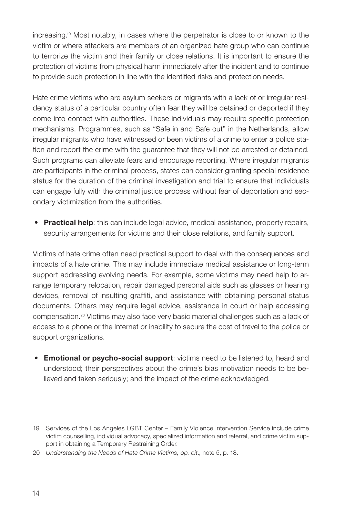increasing.19 Most notably, in cases where the perpetrator is close to or known to the victim or where attackers are members of an organized hate group who can continue to terrorize the victim and their family or close relations. It is important to ensure the protection of victims from physical harm immediately after the incident and to continue to provide such protection in line with the identified risks and protection needs.

Hate crime victims who are asylum seekers or migrants with a lack of or irregular residency status of a particular country often fear they will be detained or deported if they come into contact with authorities. These individuals may require specific protection mechanisms. Programmes, such as "Safe in and Safe out" in the Netherlands, allow irregular migrants who have witnessed or been victims of a crime to enter a police station and report the crime with the guarantee that they will not be arrested or detained. Such programs can alleviate fears and encourage reporting. Where irregular migrants are participants in the criminal process, states can consider granting special residence status for the duration of the criminal investigation and trial to ensure that individuals can engage fully with the criminal justice process without fear of deportation and secondary victimization from the authorities.

• Practical help: this can include legal advice, medical assistance, property repairs, security arrangements for victims and their close relations, and family support.

Victims of hate crime often need practical support to deal with the consequences and impacts of a hate crime. This may include immediate medical assistance or long-term support addressing evolving needs. For example, some victims may need help to arrange temporary relocation, repair damaged personal aids such as glasses or hearing devices, removal of insulting graffiti, and assistance with obtaining personal status documents. Others may require legal advice, assistance in court or help accessing compensation.20 Victims may also face very basic material challenges such as a lack of access to a phone or the Internet or inability to secure the cost of travel to the police or support organizations.

• Emotional or psycho-social support: victims need to be listened to, heard and understood; their perspectives about the crime's bias motivation needs to be believed and taken seriously; and the impact of the crime acknowledged.

<sup>19</sup> [Services of the Los Angeles LGBT Center](https://www.211la.org/resources/service/temporary-restraining-orders-77) – Family Violence Intervention Service include crime victim counselling, individual advocacy, specialized information and referral, and crime victim support in obtaining a Temporary Restraining Order.

<sup>20</sup> *[Understanding the Needs of Hate Crime Victims](https://www.osce.org/odihr/463011), op. cit*., note 5, p. 18.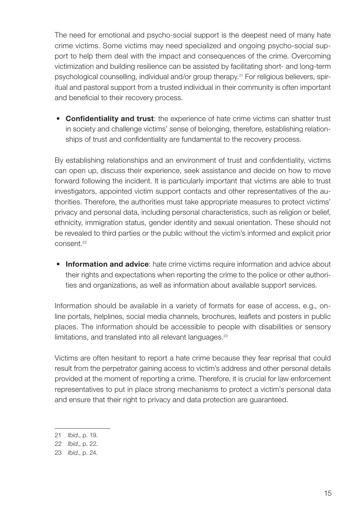The need for emotional and psycho-social support is the deepest need of many hate crime victims. Some victims may need specialized and ongoing psycho-social support to help them deal with the impact and consequences of the crime. Overcoming victimization and building resilience can be assisted by facilitating short- and long-term psychological counselling, individual and/or group therapy.21 For religious believers, spiritual and pastoral support from a trusted individual in their community is often important and beneficial to their recovery process.

• Confidentiality and trust: the experience of hate crime victims can shatter trust in society and challenge victims' sense of belonging, therefore, establishing relationships of trust and confidentiality are fundamental to the recovery process.

By establishing relationships and an environment of trust and confidentiality, victims can open up, discuss their experience, seek assistance and decide on how to move forward following the incident. It is particularly important that victims are able to trust investigators, appointed victim support contacts and other representatives of the authorities. Therefore, the authorities must take appropriate measures to protect victims' privacy and personal data, including personal characteristics, such as religion or belief, ethnicity, immigration status, gender identity and sexual orientation. These should not be revealed to third parties or the public without the victim's informed and explicit prior consent.<sup>22</sup>

• Information and advice: hate crime victims require information and advice about their rights and expectations when reporting the crime to the police or other authorities and organizations, as well as information about available support services.

Information should be available in a variety of formats for ease of access, e.g., online portals, helplines, social media channels, brochures, leaflets and posters in public places. The information should be accessible to people with disabilities or sensory limitations, and translated into all relevant languages.<sup>23</sup>

Victims are often hesitant to report a hate crime because they fear reprisal that could result from the perpetrator gaining access to victim's address and other personal details provided at the moment of reporting a crime. Therefore, it is crucial for law enforcement representatives to put in place strong mechanisms to protect a victim's personal data and ensure that their right to privacy and data protection are guaranteed.

<sup>21</sup> *Ibid*., p. 19.

<sup>22</sup> *Ibid*., p. 22.

<sup>23</sup> *Ibid*., p. 24.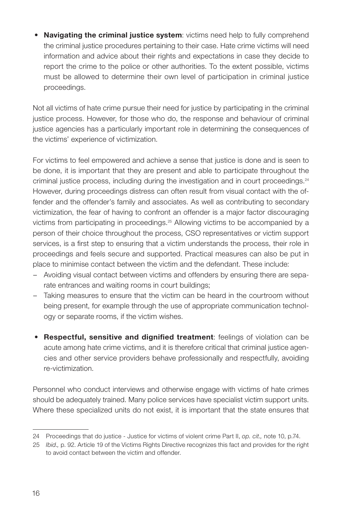• Navigating the criminal justice system: victims need help to fully comprehend the criminal justice procedures pertaining to their case. Hate crime victims will need information and advice about their rights and expectations in case they decide to report the crime to the police or other authorities. To the extent possible, victims must be allowed to determine their own level of participation in criminal justice proceedings.

Not all victims of hate crime pursue their need for justice by participating in the criminal justice process. However, for those who do, the response and behaviour of criminal justice agencies has a particularly important role in determining the consequences of the victims' experience of victimization.

For victims to feel empowered and achieve a sense that justice is done and is seen to be done, it is important that they are present and able to participate throughout the criminal justice process, including during the investigation and in court proceedings.<sup>24</sup> However, during proceedings distress can often result from visual contact with the offender and the offender's family and associates. As well as contributing to secondary victimization, the fear of having to confront an offender is a major factor discouraging victims from participating in proceedings.25 Allowing victims to be accompanied by a person of their choice throughout the process, CSO representatives or victim support services, is a first step to ensuring that a victim understands the process, their role in proceedings and feels secure and supported. Practical measures can also be put in place to minimise contact between the victim and the defendant. These include:

- Avoiding visual contact between victims and offenders by ensuring there are separate entrances and waiting rooms in court buildings;
- Taking measures to ensure that the victim can be heard in the courtroom without being present, for example through the use of appropriate communication technology or separate rooms, if the victim wishes.
- Respectful, sensitive and dignified treatment: feelings of violation can be acute among hate crime victims, and it is therefore critical that criminal justice agencies and other service providers behave professionally and respectfully, avoiding re-victimization.

Personnel who conduct interviews and otherwise engage with victims of hate crimes should be adequately trained. Many police services have specialist victim support units. Where these specialized units do not exist, it is important that the state ensures that

<sup>24</sup> [Proceedings that do justice - Justice for victims of violent crime Part II,](https://fra.europa.eu/sites/default/files/fra_uploads/fra-2019-justice-for-victims-of-violent-crime-part-2-proceedings_en.pdf) *op. cit.,* note 10, p.74.

<sup>25</sup> *Ibid*.*,* p. 92. Article 19 of the Victims Rights Directive recognizes this fact and provides for the right to avoid contact between the victim and offender.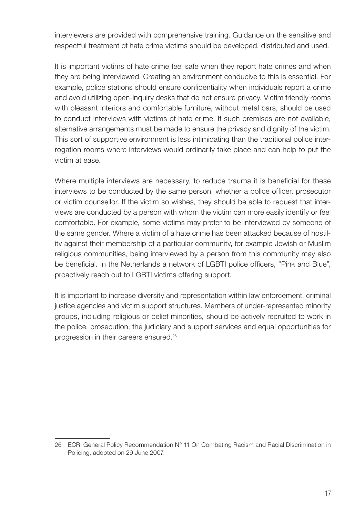interviewers are provided with comprehensive training. Guidance on the sensitive and respectful treatment of hate crime victims should be developed, distributed and used.

It is important victims of hate crime feel safe when they report hate crimes and when they are being interviewed. Creating an environment conducive to this is essential. For example, police stations should ensure confidentiality when individuals report a crime and avoid utilizing open-inquiry desks that do not ensure privacy. Victim friendly rooms with pleasant interiors and comfortable furniture, without metal bars, should be used to conduct interviews with victims of hate crime. If such premises are not available, alternative arrangements must be made to ensure the privacy and dignity of the victim. This sort of supportive environment is less intimidating than the traditional police interrogation rooms where interviews would ordinarily take place and can help to put the victim at ease.

Where multiple interviews are necessary, to reduce trauma it is beneficial for these interviews to be conducted by the same person, whether a police officer, prosecutor or victim counsellor. If the victim so wishes, they should be able to request that interviews are conducted by a person with whom the victim can more easily identify or feel comfortable. For example, some victims may prefer to be interviewed by someone of the same gender. Where a victim of a hate crime has been attacked because of hostility against their membership of a particular community, for example Jewish or Muslim religious communities, being interviewed by a person from this community may also be beneficial. In the Netherlands a network of LGBTI police officers, "Pink and Blue", proactively reach out to LGBTI victims offering support.

It is important to increase diversity and representation within law enforcement, criminal justice agencies and victim support structures. Members of under-represented minority groups, including religious or belief minorities, should be actively recruited to work in the police, prosecution, the judiciary and support services and equal opportunities for progression in their careers ensured.26

<sup>26</sup> [ECRI General Policy Recommendation N° 11 On Combating Racism and Racial Discrimination in](https://rm.coe.int/ecri-general-policy-recommendation-no-11-on-combating-racism-and-racia/16808b5adf) [Policing,](https://rm.coe.int/ecri-general-policy-recommendation-no-11-on-combating-racism-and-racia/16808b5adf) adopted on 29 June 2007.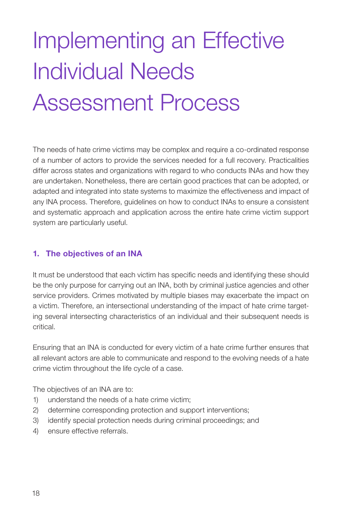# <span id="page-19-0"></span>Implementing an Effective Individual Needs Assessment Process

The needs of hate crime victims may be complex and require a co-ordinated response of a number of actors to provide the services needed for a full recovery. Practicalities differ across states and organizations with regard to who conducts INAs and how they are undertaken. Nonetheless, there are certain good practices that can be adopted, or adapted and integrated into state systems to maximize the effectiveness and impact of any INA process. Therefore, guidelines on how to conduct INAs to ensure a consistent and systematic approach and application across the entire hate crime victim support system are particularly useful.

#### 1. The objectives of an INA

It must be understood that each victim has specific needs and identifying these should be the only purpose for carrying out an INA, both by criminal justice agencies and other service providers. Crimes motivated by multiple biases may exacerbate the impact on a victim. Therefore, an intersectional understanding of the impact of hate crime targeting several intersecting characteristics of an individual and their subsequent needs is critical.

Ensuring that an INA is conducted for every victim of a hate crime further ensures that all relevant actors are able to communicate and respond to the evolving needs of a hate crime victim throughout the life cycle of a case.

The objectives of an INA are to:

- 1) understand the needs of a hate crime victim;
- 2) determine corresponding protection and support interventions;
- 3) identify special protection needs during criminal proceedings; and
- 4) ensure effective referrals.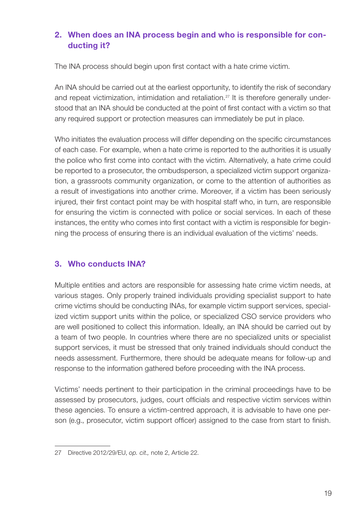### <span id="page-20-0"></span>2. When does an INA process begin and who is responsible for conducting it?

The INA process should begin upon first contact with a hate crime victim.

An INA should be carried out at the earliest opportunity, to identify the risk of secondary and repeat victimization, intimidation and retaliation.<sup>27</sup> It is therefore generally understood that an INA should be conducted at the point of first contact with a victim so that any required support or protection measures can immediately be put in place.

Who initiates the evaluation process will differ depending on the specific circumstances of each case. For example, when a hate crime is reported to the authorities it is usually the police who first come into contact with the victim. Alternatively, a hate crime could be reported to a prosecutor, the ombudsperson, a specialized victim support organization, a grassroots community organization, or come to the attention of authorities as a result of investigations into another crime. Moreover, if a victim has been seriously injured, their first contact point may be with hospital staff who, in turn, are responsible for ensuring the victim is connected with police or social services. In each of these instances, the entity who comes into first contact with a victim is responsible for beginning the process of ensuring there is an individual evaluation of the victims' needs.

### 3. Who conducts INA?

Multiple entities and actors are responsible for assessing hate crime victim needs, at various stages. Only properly trained individuals providing specialist support to hate crime victims should be conducting INAs, for example victim support services, specialized victim support units within the police, or specialized CSO service providers who are well positioned to collect this information. Ideally, an INA should be carried out by a team of two people. In countries where there are no specialized units or specialist support services, it must be stressed that only trained individuals should conduct the needs assessment. Furthermore, there should be adequate means for follow-up and response to the information gathered before proceeding with the INA process.

Victims' needs pertinent to their participation in the criminal proceedings have to be assessed by prosecutors, judges, court officials and respective victim services within these agencies. To ensure a victim-centred approach, it is advisable to have one person (e.g., prosecutor, victim support officer) assigned to the case from start to finish.

<sup>27</sup> Directive 2012/29/EU, *op. cit.,* note 2, Article 22.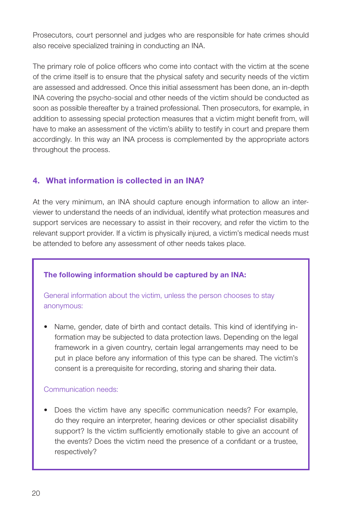<span id="page-21-0"></span>Prosecutors, court personnel and judges who are responsible for hate crimes should also receive specialized training in conducting an INA.

The primary role of police officers who come into contact with the victim at the scene of the crime itself is to ensure that the physical safety and security needs of the victim are assessed and addressed. Once this initial assessment has been done, an in-depth INA covering the psycho-social and other needs of the victim should be conducted as soon as possible thereafter by a trained professional. Then prosecutors, for example, in addition to assessing special protection measures that a victim might benefit from, will have to make an assessment of the victim's ability to testify in court and prepare them accordingly. In this way an INA process is complemented by the appropriate actors throughout the process.

### 4. What information is collected in an INA?

At the very minimum, an INA should capture enough information to allow an interviewer to understand the needs of an individual, identify what protection measures and support services are necessary to assist in their recovery, and refer the victim to the relevant support provider. If a victim is physically injured, a victim's medical needs must be attended to before any assessment of other needs takes place.

### The following information should be captured by an INA:

General information about the victim, unless the person chooses to stay anonymous:

• Name, gender, date of birth and contact details. This kind of identifying information may be subjected to data protection laws. Depending on the legal framework in a given country, certain legal arrangements may need to be put in place before any information of this type can be shared. The victim's consent is a prerequisite for recording, storing and sharing their data.

#### Communication needs:

• Does the victim have any specific communication needs? For example, do they require an interpreter, hearing devices or other specialist disability support? Is the victim sufficiently emotionally stable to give an account of the events? Does the victim need the presence of a confidant or a trustee, respectively?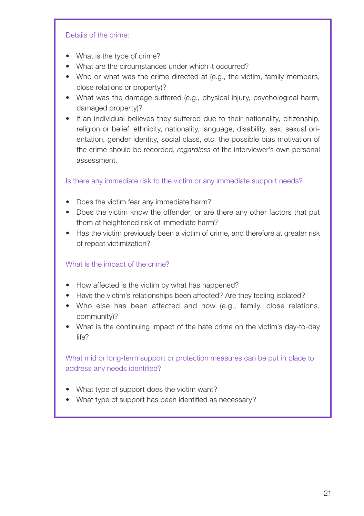#### Details of the crime:

- What is the type of crime?
- What are the circumstances under which it occurred?
- Who or what was the crime directed at (e.g., the victim, family members, close relations or property)?
- What was the damage suffered (e.g., physical injury, psychological harm, damaged property)?
- If an individual believes they suffered due to their nationality, citizenship, religion or belief, ethnicity, nationality, language, disability, sex, sexual orientation, gender identity, social class, etc. the possible bias motivation of the crime should be recorded, *regardless* of the interviewer's own personal assessment.

Is there any immediate risk to the victim or any immediate support needs?

- Does the victim fear any immediate harm?
- Does the victim know the offender, or are there any other factors that put them at heightened risk of immediate harm?
- Has the victim previously been a victim of crime, and therefore at greater risk of repeat victimization?

#### What is the impact of the crime?

- How affected is the victim by what has happened?
- Have the victim's relationships been affected? Are they feeling isolated?
- Who else has been affected and how (e.g., family, close relations, community)?
- What is the continuing impact of the hate crime on the victim's day-to-day life?

What mid or long-term support or protection measures can be put in place to address any needs identified?

- What type of support does the victim want?
- What type of support has been identified as necessary?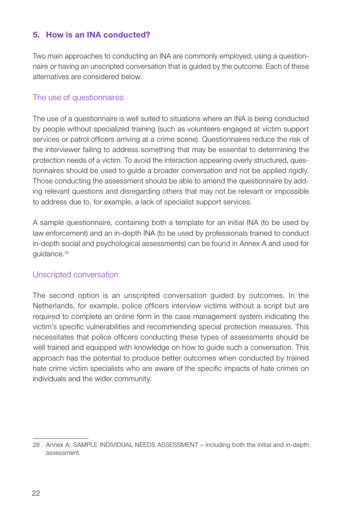### <span id="page-23-0"></span>5. How is an INA conducted?

Two main approaches to conducting an INA are commonly employed: using a questionnaire or having an unscripted conversation that is guided by the outcome. Each of these alternatives are considered below.

#### The use of questionnaires

The use of a questionnaire is well suited to situations where an INA is being conducted by people without specialized training (such as volunteers engaged at victim support services or patrol officers arriving at a crime scene). Questionnaires reduce the risk of the interviewer failing to address something that may be essential to determining the protection needs of a victim. To avoid the interaction appearing overly structured, questionnaires should be used to guide a broader conversation and not be applied rigidly. Those conducting the assessment should be able to amend the questionnaire by adding relevant questions and disregarding others that may not be relevant or impossible to address due to, for example, a lack of specialist support services.

A sample questionnaire, containing both a template for an initial INA (to be used by law enforcement) and an in-depth INA (to be used by professionals trained to conduct in-depth social and psychological assessments) can be found in Annex A and used for guidance.<sup>28</sup>

#### Unscripted conversation

The second option is an unscripted conversation guided by outcomes. In the Netherlands, for example, police officers interview victims without a script but are required to complete an online form in the case management system indicating the victim's specific vulnerabilities and recommending special protection measures. This necessitates that police officers conducting these types of assessments should be well trained and equipped with knowledge on how to guide such a conversation. This approach has the potential to produce better outcomes when conducted by trained hate crime victim specialists who are aware of the specific impacts of hate crimes on individuals and the wider community.

<sup>28</sup> Annex A: SAMPLE INDIVIDUAL NEEDS ASSESSMENT – including both the initial and in-depth assessment.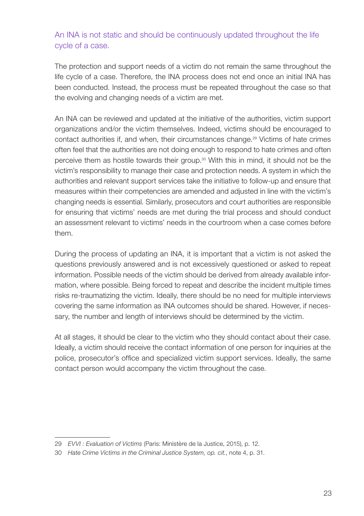### An INA is not static and should be continuously updated throughout the life cycle of a case.

The protection and support needs of a victim do not remain the same throughout the life cycle of a case. Therefore, the INA process does not end once an initial INA has been conducted. Instead, the process must be repeated throughout the case so that the evolving and changing needs of a victim are met.

An INA can be reviewed and updated at the initiative of the authorities, victim support organizations and/or the victim themselves. Indeed, victims should be encouraged to contact authorities if, and when, their circumstances change.29 Victims of hate crimes often feel that the authorities are not doing enough to respond to hate crimes and often perceive them as hostile towards their group. $30$  With this in mind, it should not be the victim's responsibility to manage their case and protection needs. A system in which the authorities and relevant support services take the initiative to follow-up and ensure that measures within their competencies are amended and adjusted in line with the victim's changing needs is essential. Similarly, prosecutors and court authorities are responsible for ensuring that victims' needs are met during the trial process and should conduct an assessment relevant to victims' needs in the courtroom when a case comes before them.

During the process of updating an INA, it is important that a victim is not asked the questions previously answered and is not excessively questioned or asked to repeat information. Possible needs of the victim should be derived from already available information, where possible. Being forced to repeat and describe the incident multiple times risks re-traumatizing the victim. Ideally, there should be no need for multiple interviews covering the same information as INA outcomes should be shared. However, if necessary, the number and length of interviews should be determined by the victim.

At all stages, it should be clear to the victim who they should contact about their case. Ideally, a victim should receive the contact information of one person for inquiries at the police, prosecutor's office and specialized victim support services. Ideally, the same contact person would accompany the victim throughout the case.

<sup>29</sup> *[EVVI : Evaluation of Victims](http://www.justice.gouv.fr/publication/)* (Paris: Ministère de la Justice, 2015), p. 12.

<sup>30</sup> *[Hate Crime Victims in the Criminal Justice System,](https://www.osce.org/odihr/447028) op. cit.*, note 4, p. 31.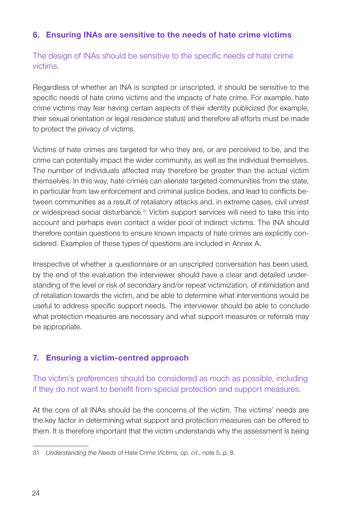### <span id="page-25-0"></span>6. Ensuring INAs are sensitive to the needs of hate crime victims

The design of INAs should be sensitive to the specific needs of hate crime victims.

Regardless of whether an INA is scripted or unscripted, it should be sensitive to the specific needs of hate crime victims and the impacts of hate crime. For example, hate crime victims may fear having certain aspects of their identity publicized (for example, their sexual orientation or legal residence status) and therefore all efforts must be made to protect the privacy of victims.

Victims of hate crimes are targeted for who they are, or are perceived to be, and the crime can potentially impact the wider community, as well as the individual themselves. The number of individuals affected may therefore be greater than the actual victim themselves. In this way, hate crimes can alienate targeted communities from the state, in particular from law enforcement and criminal justice bodies, and lead to conflicts between communities as a result of retaliatory attacks and, in extreme cases, civil unrest or widespread social disturbance.31 Victim support services will need to take this into account and perhaps even contact a wider pool of indirect victims. The INA should therefore contain questions to ensure known impacts of hate crimes are explicitly considered. Examples of these types of questions are included in Annex A.

Irrespective of whether a questionnaire or an unscripted conversation has been used, by the end of the evaluation the interviewer should have a clear and detailed understanding of the level or risk of secondary and/or repeat victimization, of intimidation and of retaliation towards the victim, and be able to determine what interventions would be useful to address specific support needs. The interviewer should be able to conclude what protection measures are necessary and what support measures or referrals may be appropriate.

### 7. Ensuring a victim-centred approach

The victim's preferences should be considered as much as possible, including if they do not want to benefit from special protection and support measures.

At the core of all INAs should be the concerns of the victim. The victims' needs are the key factor in determining what support and protection measures can be offered to them. It is therefore important that the victim understands why the assessment is being

<sup>31</sup> *[Understanding the Needs of Hate Crime Victims](https://www.osce.org/odihr/463011), op. cit*., note 5, p. 8.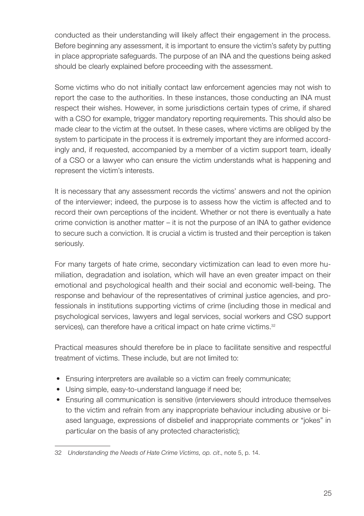conducted as their understanding will likely affect their engagement in the process. Before beginning any assessment, it is important to ensure the victim's safety by putting in place appropriate safeguards. The purpose of an INA and the questions being asked should be clearly explained before proceeding with the assessment.

Some victims who do not initially contact law enforcement agencies may not wish to report the case to the authorities. In these instances, those conducting an INA must respect their wishes. However, in some jurisdictions certain types of crime, if shared with a CSO for example, trigger mandatory reporting requirements. This should also be made clear to the victim at the outset. In these cases, where victims are obliged by the system to participate in the process it is extremely important they are informed accordingly and, if requested, accompanied by a member of a victim support team, ideally of a CSO or a lawyer who can ensure the victim understands what is happening and represent the victim's interests.

It is necessary that any assessment records the victims' answers and not the opinion of the interviewer; indeed, the purpose is to assess how the victim is affected and to record their own perceptions of the incident. Whether or not there is eventually a hate crime conviction is another matter – it is not the purpose of an INA to gather evidence to secure such a conviction. It is crucial a victim is trusted and their perception is taken seriously.

For many targets of hate crime, secondary victimization can lead to even more humiliation, degradation and isolation, which will have an even greater impact on their emotional and psychological health and their social and economic well-being. The response and behaviour of the representatives of criminal justice agencies, and professionals in institutions supporting victims of crime (including those in medical and psychological services, lawyers and legal services, social workers and CSO support services), can therefore have a critical impact on hate crime victims.<sup>32</sup>

Practical measures should therefore be in place to facilitate sensitive and respectful treatment of victims. These include, but are not limited to:

- Ensuring interpreters are available so a victim can freely communicate;
- Using simple, easy-to-understand language if need be;
- Ensuring all communication is sensitive (interviewers should introduce themselves to the victim and refrain from any inappropriate behaviour including abusive or biased language, expressions of disbelief and inappropriate comments or "jokes" in particular on the basis of any protected characteristic);

<sup>32</sup> *[Understanding the Needs of Hate Crime Victims,](https://www.osce.org/odihr/463011) op. cit*., note 5, p. 14.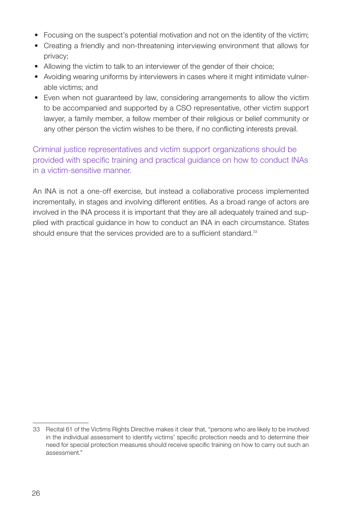- Focusing on the suspect's potential motivation and not on the identity of the victim;
- Creating a friendly and non-threatening interviewing environment that allows for privacy;
- Allowing the victim to talk to an interviewer of the gender of their choice;
- Avoiding wearing uniforms by interviewers in cases where it might intimidate vulnerable victims; and
- Even when not guaranteed by law, considering arrangements to allow the victim to be accompanied and supported by a CSO representative, other victim support lawyer, a family member, a fellow member of their religious or belief community or any other person the victim wishes to be there, if no conflicting interests prevail.

Criminal justice representatives and victim support organizations should be provided with specific training and practical guidance on how to conduct INAs in a victim-sensitive manner.

An INA is not a one-off exercise, but instead a collaborative process implemented incrementally, in stages and involving different entities. As a broad range of actors are involved in the INA process it is important that they are all adequately trained and supplied with practical guidance in how to conduct an INA in each circumstance. States should ensure that the services provided are to a sufficient standard.<sup>33</sup>

<sup>33</sup> Recital 61 of the Victims Rights Directive makes it clear that, "persons who are likely to be involved in the individual assessment to identify victims' specific protection needs and to determine their need for special protection measures should receive specific training on how to carry out such an assessment."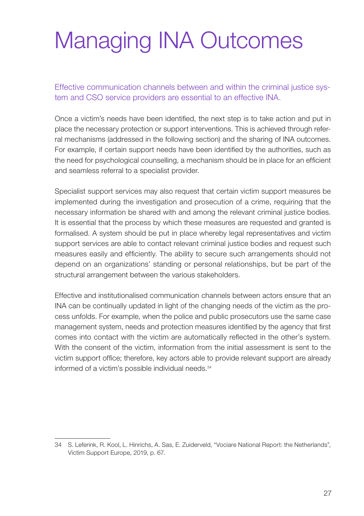## <span id="page-28-0"></span>Managing INA Outcomes

Effective communication channels between and within the criminal justice system and CSO service providers are essential to an effective INA.

Once a victim's needs have been identified, the next step is to take action and put in place the necessary protection or support interventions. This is achieved through referral mechanisms (addressed in the following section) and the sharing of INA outcomes. For example, if certain support needs have been identified by the authorities, such as the need for psychological counselling, a mechanism should be in place for an efficient and seamless referral to a specialist provider.

Specialist support services may also request that certain victim support measures be implemented during the investigation and prosecution of a crime, requiring that the necessary information be shared with and among the relevant criminal justice bodies. It is essential that the process by which these measures are requested and granted is formalised. A system should be put in place whereby legal representatives and victim support services are able to contact relevant criminal justice bodies and request such measures easily and efficiently. The ability to secure such arrangements should not depend on an organizations' standing or personal relationships, but be part of the structural arrangement between the various stakeholders.

Effective and institutionalised communication channels between actors ensure that an INA can be continually updated in light of the changing needs of the victim as the process unfolds. For example, when the police and public prosecutors use the same case management system, needs and protection measures identified by the agency that first comes into contact with the victim are automatically reflected in the other's system. With the consent of the victim, information from the initial assessment is sent to the victim support office; therefore, key actors able to provide relevant support are already informed of a victim's possible individual needs.<sup>34</sup>

<sup>34</sup> S. Leferink, R. Kool, L. Hinrichs, A. Sas, E. Zuiderveld, "[Vociare National Report: the Netherlands"](https://victimsupport.eu/activeapp/wp-content/uploads/2019/08/VOCIARE_National_Report_Netherlands_interactive.pdf), Victim Support Europe, 2019, p. 67.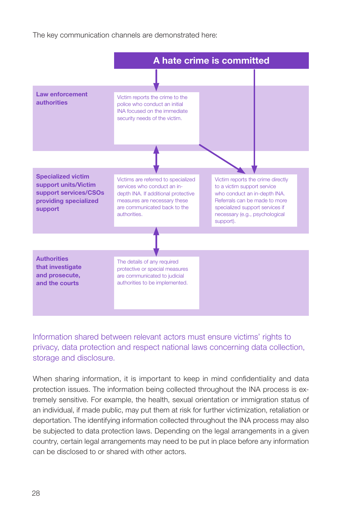The key communication channels are demonstrated here:



Information shared between relevant actors must ensure victims' rights to privacy, data protection and respect national laws concerning data collection, storage and disclosure.

When sharing information, it is important to keep in mind confidentiality and data protection issues. The information being collected throughout the INA process is extremely sensitive. For example, the health, sexual orientation or immigration status of an individual, if made public, may put them at risk for further victimization, retaliation or deportation. The identifying information collected throughout the INA process may also be subjected to data protection laws. Depending on the legal arrangements in a given country, certain legal arrangements may need to be put in place before any information can be disclosed to or shared with other actors.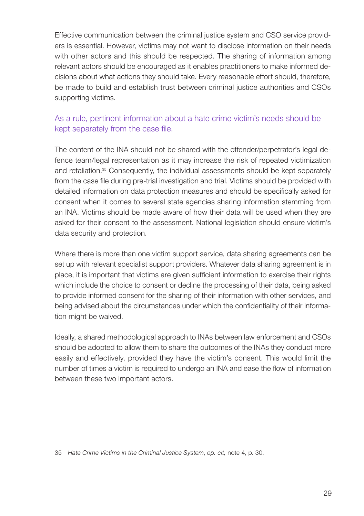Effective communication between the criminal justice system and CSO service providers is essential. However, victims may not want to disclose information on their needs with other actors and this should be respected. The sharing of information among relevant actors should be encouraged as it enables practitioners to make informed decisions about what actions they should take. Every reasonable effort should, therefore, be made to build and establish trust between criminal justice authorities and CSOs supporting victims.

### As a rule, pertinent information about a hate crime victim's needs should be kept separately from the case file.

The content of the INA should not be shared with the offender/perpetrator's legal defence team/legal representation as it may increase the risk of repeated victimization and retaliation.35 Consequently, the individual assessments should be kept separately from the case file during pre-trial investigation and trial. Victims should be provided with detailed information on data protection measures and should be specifically asked for consent when it comes to several state agencies sharing information stemming from an INA. Victims should be made aware of how their data will be used when they are asked for their consent to the assessment. National legislation should ensure victim's data security and protection.

Where there is more than one victim support service, data sharing agreements can be set up with relevant specialist support providers. Whatever data sharing agreement is in place, it is important that victims are given sufficient information to exercise their rights which include the choice to consent or decline the processing of their data, being asked to provide informed consent for the sharing of their information with other services, and being advised about the circumstances under which the confidentiality of their information might be waived.

Ideally, a shared methodological approach to INAs between law enforcement and CSOs should be adopted to allow them to share the outcomes of the INAs they conduct more easily and effectively, provided they have the victim's consent. This would limit the number of times a victim is required to undergo an INA and ease the flow of information between these two important actors.

<sup>35</sup> *[Hate Crime Victims in the Criminal Justice System](https://www.osce.org/odihr/447028)*, *op. cit,* note 4, p. 30.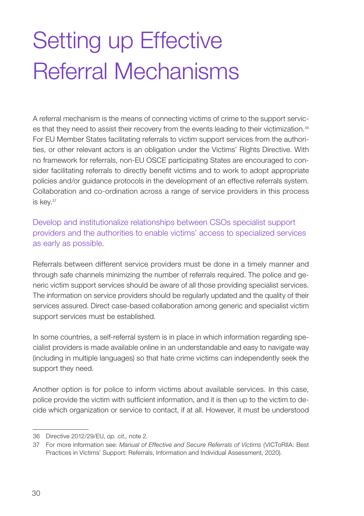# <span id="page-31-0"></span>Setting up Effective Referral Mechanisms

A referral mechanism is the means of connecting victims of crime to the support services that they need to assist their recovery from the events leading to their victimization.<sup>36</sup> For EU Member States facilitating referrals to victim support services from the authorities, or other relevant actors is an obligation under the Victims' Rights Directive. With no framework for referrals, non-EU OSCE participating States are encouraged to consider facilitating referrals to directly benefit victims and to work to adopt appropriate policies and/or guidance protocols in the development of an effective referrals system. Collaboration and co-ordination across a range of service providers in this process is key.37

Develop and institutionalize relationships between CSOs specialist support providers and the authorities to enable victims' access to specialized services as early as possible.

Referrals between different service providers must be done in a timely manner and through safe channels minimizing the number of referrals required. The police and generic victim support services should be aware of all those providing specialist services. The information on service providers should be regularly updated and the quality of their services assured. Direct case-based collaboration among generic and specialist victim support services must be established.

In some countries, a self-referral system is in place in which information regarding specialist providers is made available online in an understandable and easy to navigate way (including in multiple languages) so that hate crime victims can independently seek the support they need.

Another option is for police to inform victims about available services. In this case, police provide the victim with sufficient information, and it is then up to the victim to decide which organization or service to contact, if at all. However, it must be understood

<sup>36</sup> Directive 2012/29/EU, *op. cit.,* note 2.

<sup>37</sup> For more information see: *[Manual of Effective and Secure Referrals of Victims](http://victoriia.eu/wp-content/uploads/2020/02/Manual-final-for-print.pdf)* (VICToRIIA: Best Practices in Victims' Support: Referrals, Information and Individual Assessment, 2020).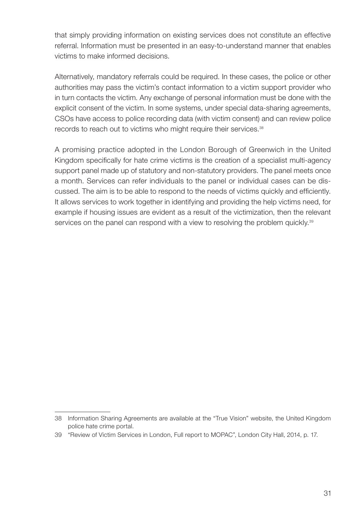that simply providing information on existing services does not constitute an effective referral. Information must be presented in an easy-to-understand manner that enables victims to make informed decisions.

Alternatively, mandatory referrals could be required. In these cases, the police or other authorities may pass the victim's contact information to a victim support provider who in turn contacts the victim. Any exchange of personal information must be done with the explicit consent of the victim. In some systems, under special data-sharing agreements, CSOs have access to police recording data (with victim consent) and can review police records to reach out to victims who might require their services.<sup>38</sup>

A promising practice adopted in the London Borough of Greenwich in the United Kingdom specifically for hate crime victims is the creation of a specialist multi-agency support panel made up of statutory and non-statutory providers. The panel meets once a month. Services can refer individuals to the panel or individual cases can be discussed. The aim is to be able to respond to the needs of victims quickly and efficiently. It allows services to work together in identifying and providing the help victims need, for example if housing issues are evident as a result of the victimization, then the relevant services on the panel can respond with a view to resolving the problem quickly.<sup>39</sup>

<sup>38</sup> Information Sharing Agreements are available at the "[True Vision"](https://www.report-it.org.uk/information_sharing_agreements) website, the United Kingdom police hate crime portal.

<sup>39</sup> "[Review of Victim Services in London, Full report to MOPAC](https://www.london.gov.uk/sites/default/files/Review%20of%20victim%20services%20in%20London.pdf)", London City Hall, 2014, p. 17.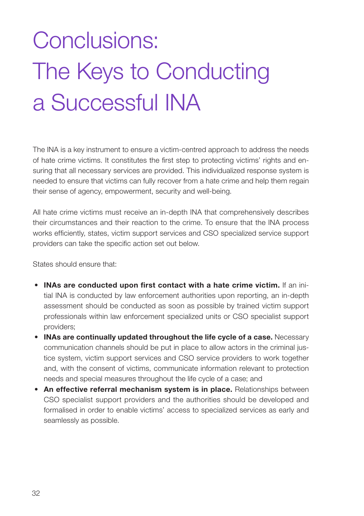# <span id="page-33-0"></span>Conclusions: The Keys to Conducting a Successful INA

The INA is a key instrument to ensure a victim-centred approach to address the needs of hate crime victims. It constitutes the first step to protecting victims' rights and ensuring that all necessary services are provided. This individualized response system is needed to ensure that victims can fully recover from a hate crime and help them regain their sense of agency, empowerment, security and well-being.

All hate crime victims must receive an in-depth INA that comprehensively describes their circumstances and their reaction to the crime. To ensure that the INA process works efficiently, states, victim support services and CSO specialized service support providers can take the specific action set out below.

States should ensure that:

- INAs are conducted upon first contact with a hate crime victim. If an initial INA is conducted by law enforcement authorities upon reporting, an in-depth assessment should be conducted as soon as possible by trained victim support professionals within law enforcement specialized units or CSO specialist support providers;
- INAs are continually updated throughout the life cycle of a case. Necessary communication channels should be put in place to allow actors in the criminal justice system, victim support services and CSO service providers to work together and, with the consent of victims, communicate information relevant to protection needs and special measures throughout the life cycle of a case; and
- An effective referral mechanism system is in place. Relationships between CSO specialist support providers and the authorities should be developed and formalised in order to enable victims' access to specialized services as early and seamlessly as possible.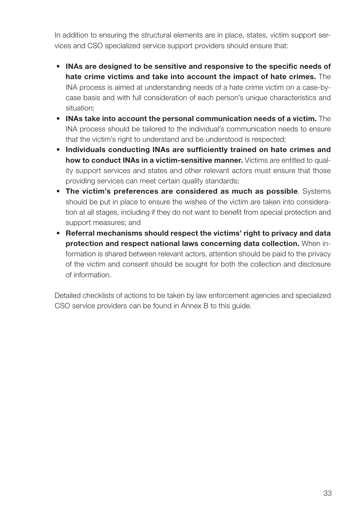In addition to ensuring the structural elements are in place, states, victim support services and CSO specialized service support providers should ensure that:

- INAs are designed to be sensitive and responsive to the specific needs of hate crime victims and take into account the impact of hate crimes. The INA process is aimed at understanding needs of a hate crime victim on a case-bycase basis and with full consideration of each person's unique characteristics and situation;
- INAs take into account the personal communication needs of a victim. The INA process should be tailored to the individual's communication needs to ensure that the victim's right to understand and be understood is respected;
- Individuals conducting INAs are sufficiently trained on hate crimes and how to conduct INAs in a victim-sensitive manner. Victims are entitled to quality support services and states and other relevant actors must ensure that those providing services can meet certain quality standards;
- The victim's preferences are considered as much as possible. Systems should be put in place to ensure the wishes of the victim are taken into consideration at all stages, including if they do not want to benefit from special protection and support measures; and
- Referral mechanisms should respect the victims' right to privacy and data protection and respect national laws concerning data collection.When information is shared between relevant actors, attention should be paid to the privacy of the victim and consent should be sought for both the collection and disclosure of information.

Detailed checklists of actions to be taken by law enforcement agencies and specialized CSO service providers can be found in Annex B to this guide.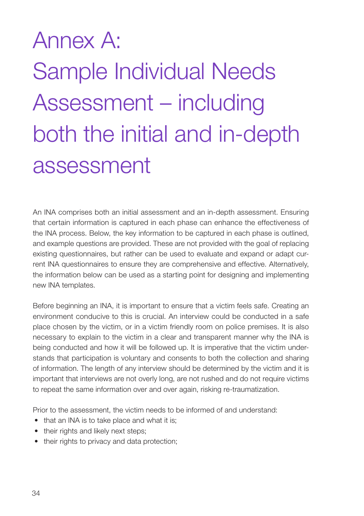# <span id="page-35-0"></span>Annex A: Sample Individual Needs Assessment – including both the initial and in-depth assessment

An INA comprises both an initial assessment and an in-depth assessment. Ensuring that certain information is captured in each phase can enhance the effectiveness of the INA process. Below, the key information to be captured in each phase is outlined, and example questions are provided. These are not provided with the goal of replacing existing questionnaires, but rather can be used to evaluate and expand or adapt current INA questionnaires to ensure they are comprehensive and effective. Alternatively, the information below can be used as a starting point for designing and implementing new INA templates.

Before beginning an INA, it is important to ensure that a victim feels safe. Creating an environment conducive to this is crucial. An interview could be conducted in a safe place chosen by the victim, or in a victim friendly room on police premises. It is also necessary to explain to the victim in a clear and transparent manner why the INA is being conducted and how it will be followed up. It is imperative that the victim understands that participation is voluntary and consents to both the collection and sharing of information. The length of any interview should be determined by the victim and it is important that interviews are not overly long, are not rushed and do not require victims to repeat the same information over and over again, risking re-traumatization.

Prior to the assessment, the victim needs to be informed of and understand:

- that an INA is to take place and what it is;
- their rights and likely next steps;
- their rights to privacy and data protection;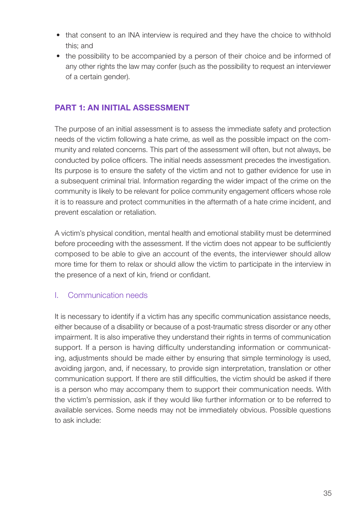- that consent to an INA interview is required and they have the choice to withhold this; and
- the possibility to be accompanied by a person of their choice and be informed of any other rights the law may confer (such as the possibility to request an interviewer of a certain gender).

### PART 1: AN INITIAL ASSESSMENT

The purpose of an initial assessment is to assess the immediate safety and protection needs of the victim following a hate crime, as well as the possible impact on the community and related concerns. This part of the assessment will often, but not always, be conducted by police officers. The initial needs assessment precedes the investigation. Its purpose is to ensure the safety of the victim and not to gather evidence for use in a subsequent criminal trial. Information regarding the wider impact of the crime on the community is likely to be relevant for police community engagement officers whose role it is to reassure and protect communities in the aftermath of a hate crime incident, and prevent escalation or retaliation.

A victim's physical condition, mental health and emotional stability must be determined before proceeding with the assessment. If the victim does not appear to be sufficiently composed to be able to give an account of the events, the interviewer should allow more time for them to relax or should allow the victim to participate in the interview in the presence of a next of kin, friend or confidant.

### I. Communication needs

It is necessary to identify if a victim has any specific communication assistance needs, either because of a disability or because of a post-traumatic stress disorder or any other impairment. It is also imperative they understand their rights in terms of communication support. If a person is having difficulty understanding information or communicating, adjustments should be made either by ensuring that simple terminology is used, avoiding jargon, and, if necessary, to provide sign interpretation, translation or other communication support. If there are still difficulties, the victim should be asked if there is a person who may accompany them to support their communication needs. With the victim's permission, ask if they would like further information or to be referred to available services. Some needs may not be immediately obvious. Possible questions to ask include: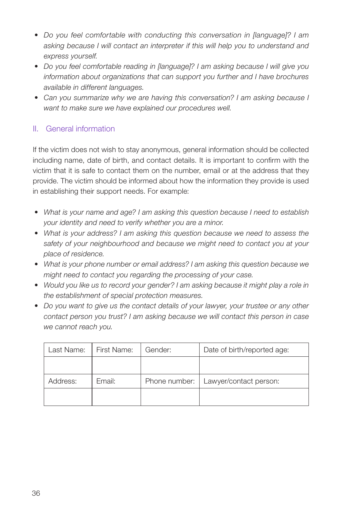- *Do you feel comfortable with conducting this conversation in [language]? I am asking because I will contact an interpreter if this will help you to understand and express yourself.*
- *Do you feel comfortable reading in [language]? I am asking because I will give you information about organizations that can support you further and I have brochures available in different languages.*
- *Can you summarize why we are having this conversation? I am asking because I want to make sure we have explained our procedures well.*

### II. General information

If the victim does not wish to stay anonymous, general information should be collected including name, date of birth, and contact details. It is important to confirm with the victim that it is safe to contact them on the number, email or at the address that they provide. The victim should be informed about how the information they provide is used in establishing their support needs. For example:

- *What is your name and age? I am asking this question because I need to establish your identity and need to verify whether you are a minor.*
- *What is your address? I am asking this question because we need to assess the safety of your neighbourhood and because we might need to contact you at your place of residence.*
- *What is your phone number or email address? I am asking this question because we might need to contact you regarding the processing of your case.*
- *Would you like us to record your gender? I am asking because it might play a role in the establishment of special protection measures.*
- *Do you want to give us the contact details of your lawyer, your trustee or any other contact person you trust? I am asking because we will contact this person in case we cannot reach you.*

| Last Name: | First Name: | Gender:       | Date of birth/reported age: |
|------------|-------------|---------------|-----------------------------|
|            |             |               |                             |
| Address:   | Email:      | Phone number: | Lawyer/contact person:      |
|            |             |               |                             |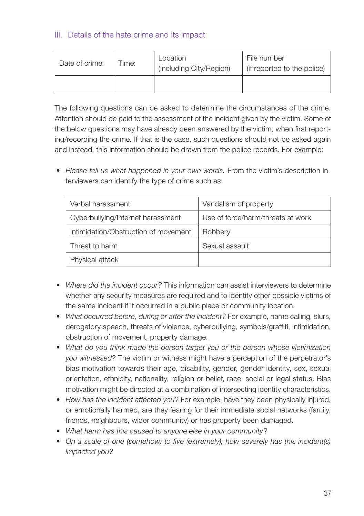### III. Details of the hate crime and its impact

| Date of crime: | Time: | Location<br>(including City/Region) | File number<br>(if reported to the police) |
|----------------|-------|-------------------------------------|--------------------------------------------|
|                |       |                                     |                                            |

The following questions can be asked to determine the circumstances of the crime. Attention should be paid to the assessment of the incident given by the victim. Some of the below questions may have already been answered by the victim, when first reporting/recording the crime. If that is the case, such questions should not be asked again and instead, this information should be drawn from the police records. For example:

• *Please tell us what happened in your own words.* From the victim's description interviewers can identify the type of crime such as:

| Verbal harassment                    | Vandalism of property             |
|--------------------------------------|-----------------------------------|
| Cyberbullying/Internet harassment    | Use of force/harm/threats at work |
| Intimidation/Obstruction of movement | Robbery                           |
| Threat to harm                       | Sexual assault                    |
| Physical attack                      |                                   |

- *Where did the incident occur?* This information can assist interviewers to determine whether any security measures are required and to identify other possible victims of the same incident if it occurred in a public place or community location.
- *What occurred before, during or after the incident?* For example, name calling, slurs, derogatory speech, threats of violence, cyberbullying, symbols/graffiti, intimidation, obstruction of movement, property damage.
- *What do you think made the person target you or the person whose victimization you witnessed?* The victim or witness might have a perception of the perpetrator's bias motivation towards their age, disability, gender, gender identity, sex, sexual orientation, ethnicity, nationality, religion or belief, race, social or legal status. Bias motivation might be directed at a combination of intersecting identity characteristics.
- *How has the incident affected you*? For example, have they been physically injured, or emotionally harmed, are they fearing for their immediate social networks (family, friends, neighbours, wider community) or has property been damaged.
- *What harm has this caused to anyone else in your community*?
- *On a scale of one (somehow) to five (extremely), how severely has this incident(s) impacted you?*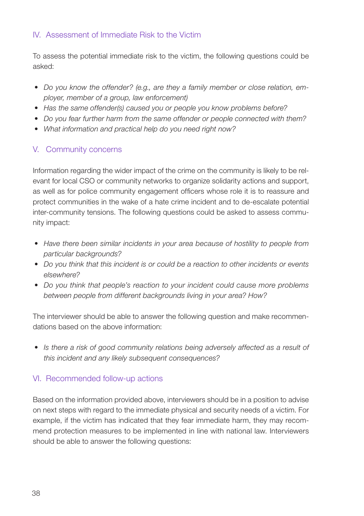### IV. Assessment of Immediate Risk to the Victim

To assess the potential immediate risk to the victim, the following questions could be asked:

- *Do you know the offender? (e.g., are they a family member or close relation, employer, member of a group, law enforcement)*
- *Has the same offender(s) caused you or people you know problems before?*
- *Do you fear further harm from the same offender or people connected with them?*
- *What information and practical help do you need right now?*

### V. Community concerns

Information regarding the wider impact of the crime on the community is likely to be relevant for local CSO or community networks to organize solidarity actions and support, as well as for police community engagement officers whose role it is to reassure and protect communities in the wake of a hate crime incident and to de-escalate potential inter-community tensions. The following questions could be asked to assess community impact:

- *Have there been similar incidents in your area because of hostility to people from particular backgrounds?*
- *Do you think that this incident is or could be a reaction to other incidents or events elsewhere?*
- *Do you think that people's reaction to your incident could cause more problems between people from different backgrounds living in your area? How?*

The interviewer should be able to answer the following question and make recommendations based on the above information:

• *Is there a risk of good community relations being adversely affected as a result of this incident and any likely subsequent consequences?* 

### VI. Recommended follow-up actions

Based on the information provided above, interviewers should be in a position to advise on next steps with regard to the immediate physical and security needs of a victim. For example, if the victim has indicated that they fear immediate harm, they may recommend protection measures to be implemented in line with national law. Interviewers should be able to answer the following questions: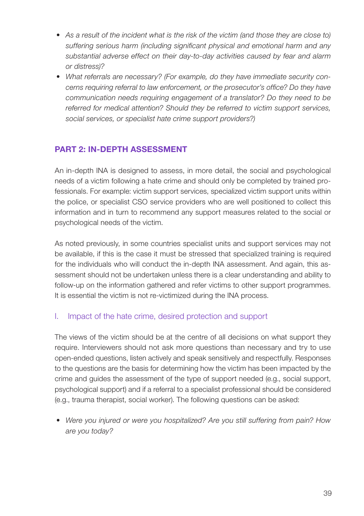- *As a result of the incident what is the risk of the victim (and those they are close to) suffering serious harm (including significant physical and emotional harm and any substantial adverse effect on their day-to-day activities caused by fear and alarm or distress)?*
- *What referrals are necessary? (For example, do they have immediate security concerns requiring referral to law enforcement, or the prosecutor's office? Do they have communication needs requiring engagement of a translator? Do they need to be referred for medical attention? Should they be referred to victim support services, social services, or specialist hate crime support providers?)*

### PART 2: IN-DEPTH ASSESSMENT

An in-depth INA is designed to assess, in more detail, the social and psychological needs of a victim following a hate crime and should only be completed by trained professionals. For example: victim support services, specialized victim support units within the police, or specialist CSO service providers who are well positioned to collect this information and in turn to recommend any support measures related to the social or psychological needs of the victim.

As noted previously, in some countries specialist units and support services may not be available, if this is the case it must be stressed that specialized training is required for the individuals who will conduct the in-depth INA assessment. And again, this assessment should not be undertaken unless there is a clear understanding and ability to follow-up on the information gathered and refer victims to other support programmes. It is essential the victim is not re-victimized during the INA process.

### I. Impact of the hate crime, desired protection and support

The views of the victim should be at the centre of all decisions on what support they require. Interviewers should not ask more questions than necessary and try to use open-ended questions, listen actively and speak sensitively and respectfully. Responses to the questions are the basis for determining how the victim has been impacted by the crime and guides the assessment of the type of support needed (e.g., social support, psychological support) and if a referral to a specialist professional should be considered (e.g., trauma therapist, social worker). The following questions can be asked:

• *Were you injured or were you hospitalized? Are you still suffering from pain? How are you today?*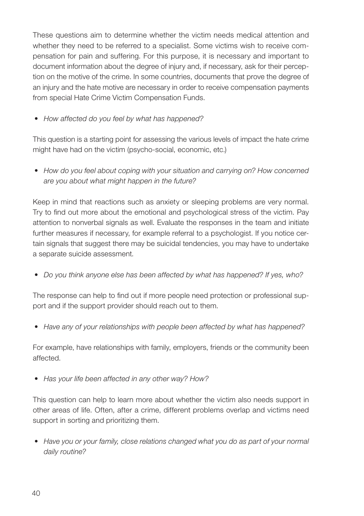These questions aim to determine whether the victim needs medical attention and whether they need to be referred to a specialist. Some victims wish to receive compensation for pain and suffering. For this purpose, it is necessary and important to document information about the degree of injury and, if necessary, ask for their perception on the motive of the crime. In some countries, documents that prove the degree of an injury and the hate motive are necessary in order to receive compensation payments from special Hate Crime Victim Compensation Funds.

• *How affected do you feel by what has happened?* 

This question is a starting point for assessing the various levels of impact the hate crime might have had on the victim (psycho-social, economic, etc.)

• *How do you feel about coping with your situation and carrying on? How concerned are you about what might happen in the future?* 

Keep in mind that reactions such as anxiety or sleeping problems are very normal. Try to find out more about the emotional and psychological stress of the victim. Pay attention to nonverbal signals as well. Evaluate the responses in the team and initiate further measures if necessary, for example referral to a psychologist. If you notice certain signals that suggest there may be suicidal tendencies, you may have to undertake a separate suicide assessment*.*

• *Do you think anyone else has been affected by what has happened? If yes, who?* 

The response can help to find out if more people need protection or professional support and if the support provider should reach out to them.

• *Have any of your relationships with people been affected by what has happened?* 

For example, have relationships with family, employers, friends or the community been affected.

• *Has your life been affected in any other way? How?* 

This question can help to learn more about whether the victim also needs support in other areas of life. Often, after a crime, different problems overlap and victims need support in sorting and prioritizing them.

• *Have you or your family, close relations changed what you do as part of your normal daily routine?*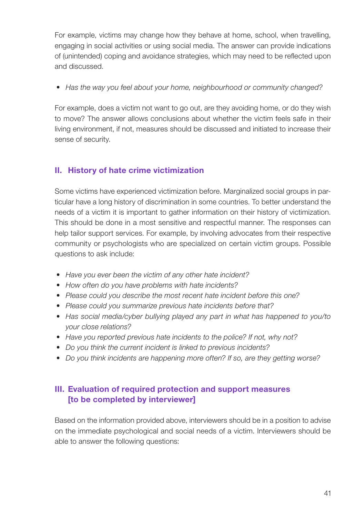For example, victims may change how they behave at home, school, when travelling, engaging in social activities or using social media. The answer can provide indications of (unintended) coping and avoidance strategies, which may need to be reflected upon and discussed.

• *Has the way you feel about your home, neighbourhood or community changed?* 

For example, does a victim not want to go out, are they avoiding home, or do they wish to move? The answer allows conclusions about whether the victim feels safe in their living environment, if not, measures should be discussed and initiated to increase their sense of security.

### II. History of hate crime victimization

Some victims have experienced victimization before. Marginalized social groups in particular have a long history of discrimination in some countries. To better understand the needs of a victim it is important to gather information on their history of victimization. This should be done in a most sensitive and respectful manner. The responses can help tailor support services. For example, by involving advocates from their respective community or psychologists who are specialized on certain victim groups. Possible questions to ask include:

- *Have you ever been the victim of any other hate incident?*
- *How often do you have problems with hate incidents?*
- *Please could you describe the most recent hate incident before this one?*
- *Please could you summarize previous hate incidents before that?*
- *Has social media/cyber bullying played any part in what has happened to you/to your close relations?*
- *Have you reported previous hate incidents to the police? If not, why not?*
- *Do you think the current incident is linked to previous incidents?*
- *Do you think incidents are happening more often? If so, are they getting worse?*

### III. Evaluation of required protection and support measures [to be completed by interviewer]

Based on the information provided above, interviewers should be in a position to advise on the immediate psychological and social needs of a victim. Interviewers should be able to answer the following questions: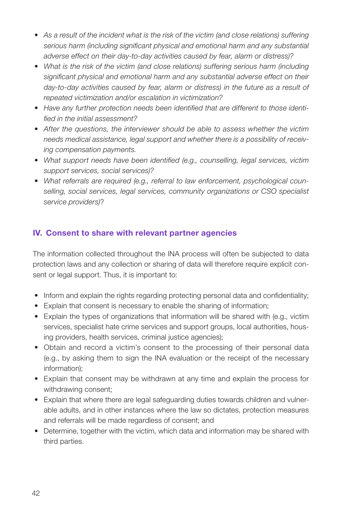- *As a result of the incident what is the risk of the victim (and close relations) suffering serious harm (including significant physical and emotional harm and any substantial adverse effect on their day-to-day activities caused by fear, alarm or distress)?*
- *What is the risk of the victim (and close relations) suffering serious harm (including significant physical and emotional harm and any substantial adverse effect on their*  day-to-day activities caused by fear, alarm or distress) in the future as a result of *repeated victimization and/or escalation in victimization?*
- *Have any further protection needs been identified that are different to those identified in the initial assessment?*
- *After the questions, the interviewer should be able to assess whether the victim needs medical assistance, legal support and whether there is a possibility of receiving compensation payments.*
- *What support needs have been identified (e.g., counselling, legal services, victim support services, social services)?*
- *What referrals are required (e.g., referral to law enforcement, psychological counselling, social services, legal services, community organizations or CSO specialist service providers)*?

### IV. Consent to share with relevant partner agencies

The information collected throughout the INA process will often be subjected to data protection laws and any collection or sharing of data will therefore require explicit consent or legal support. Thus, it is important to:

- Inform and explain the rights regarding protecting personal data and confidentiality;
- Explain that consent is necessary to enable the sharing of information;
- Explain the types of organizations that information will be shared with (e.g., victim services, specialist hate crime services and support groups, local authorities, housing providers, health services, criminal justice agencies);
- Obtain and record a victim's consent to the processing of their personal data (e.g., by asking them to sign the INA evaluation or the receipt of the necessary information);
- Explain that consent may be withdrawn at any time and explain the process for withdrawing consent;
- Explain that where there are legal safeguarding duties towards children and vulnerable adults, and in other instances where the law so dictates, protection measures and referrals will be made regardless of consent; and
- Determine, together with the victim, which data and information may be shared with third parties.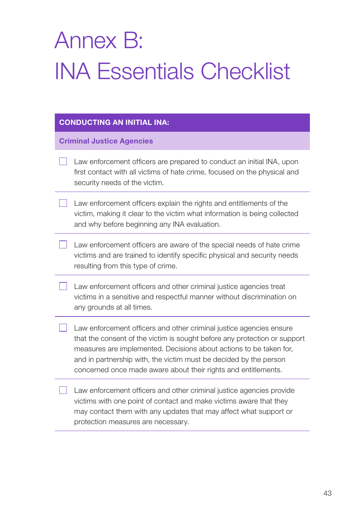# <span id="page-44-0"></span>Annex B: INA Essentials Checklist

#### CONDUCTING AN INITIAL INA:

Criminal Justice Agencies

- Law enforcement officers are prepared to conduct an initial INA, upon first contact with all victims of hate crime, focused on the physical and security needs of the victim.
- Law enforcement officers explain the rights and entitlements of the victim, making it clear to the victim what information is being collected and why before beginning any INA evaluation.
- Law enforcement officers are aware of the special needs of hate crime victims and are trained to identify specific physical and security needs resulting from this type of crime.
- Law enforcement officers and other criminal justice agencies treat victims in a sensitive and respectful manner without discrimination on any grounds at all times.
- Law enforcement officers and other criminal justice agencies ensure that the consent of the victim is sought before any protection or support measures are implemented. Decisions about actions to be taken for, and in partnership with, the victim must be decided by the person concerned once made aware about their rights and entitlements.
	- Law enforcement officers and other criminal justice agencies provide victims with one point of contact and make victims aware that they may contact them with any updates that may affect what support or protection measures are necessary.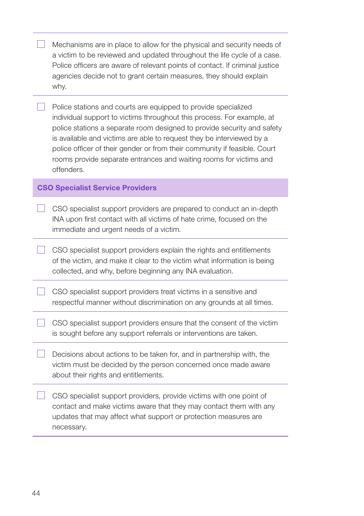| Mechanisms are in place to allow for the physical and security needs of      |
|------------------------------------------------------------------------------|
| a victim to be reviewed and updated throughout the life cycle of a case.     |
| Police officers are aware of relevant points of contact. If criminal justice |
| agencies decide not to grant certain measures, they should explain           |
| why.                                                                         |
|                                                                              |

Police stations and courts are equipped to provide specialized individual support to victims throughout this process. For example, at police stations a separate room designed to provide security and safety is available and victims are able to request they be interviewed by a police officer of their gender or from their community if feasible. Court rooms provide separate entrances and waiting rooms for victims and offenders.

#### CSO Specialist Service Providers

 CSO specialist support providers are prepared to conduct an in-depth INA upon first contact with all victims of hate crime, focused on the immediate and urgent needs of a victim.

 $\Box$  CSO specialist support providers explain the rights and entitlements of the victim, and make it clear to the victim what information is being collected, and why, before beginning any INA evaluation.

 CSO specialist support providers treat victims in a sensitive and respectful manner without discrimination on any grounds at all times.

CSO specialist support providers ensure that the consent of the victim is sought before any support referrals or interventions are taken.

 $\Box$  Decisions about actions to be taken for, and in partnership with, the victim must be decided by the person concerned once made aware about their rights and entitlements.

CSO specialist support providers, provide victims with one point of contact and make victims aware that they may contact them with any updates that may affect what support or protection measures are necessary.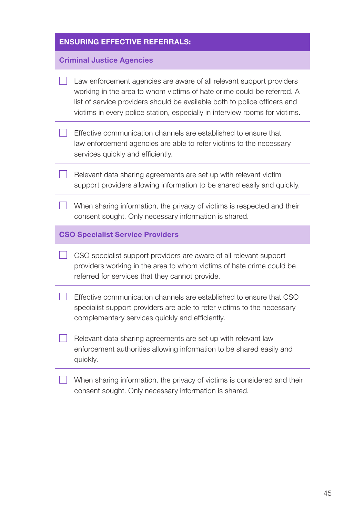|                                  | <b>ENSURING EFFECTIVE REFERRALS:</b>                                                                                                                                                                                                                                                                       |  |  |
|----------------------------------|------------------------------------------------------------------------------------------------------------------------------------------------------------------------------------------------------------------------------------------------------------------------------------------------------------|--|--|
| <b>Criminal Justice Agencies</b> |                                                                                                                                                                                                                                                                                                            |  |  |
|                                  | Law enforcement agencies are aware of all relevant support providers<br>working in the area to whom victims of hate crime could be referred. A<br>list of service providers should be available both to police officers and<br>victims in every police station, especially in interview rooms for victims. |  |  |
| $\mathbf{I}$                     | Effective communication channels are established to ensure that<br>law enforcement agencies are able to refer victims to the necessary<br>services quickly and efficiently.                                                                                                                                |  |  |
|                                  | Relevant data sharing agreements are set up with relevant victim<br>support providers allowing information to be shared easily and quickly.                                                                                                                                                                |  |  |
|                                  | When sharing information, the privacy of victims is respected and their<br>consent sought. Only necessary information is shared.                                                                                                                                                                           |  |  |
|                                  | <b>CSO Specialist Service Providers</b>                                                                                                                                                                                                                                                                    |  |  |
|                                  | CSO specialist support providers are aware of all relevant support<br>providers working in the area to whom victims of hate crime could be<br>referred for services that they cannot provide.                                                                                                              |  |  |
|                                  | Effective communication channels are established to ensure that CSO<br>specialist support providers are able to refer victims to the necessary<br>complementary services quickly and efficiently.                                                                                                          |  |  |
|                                  | Relevant data sharing agreements are set up with relevant law<br>enforcement authorities allowing information to be shared easily and<br>quickly.                                                                                                                                                          |  |  |
|                                  | When sharing information, the privacy of victims is considered and their<br>consent sought. Only necessary information is shared.                                                                                                                                                                          |  |  |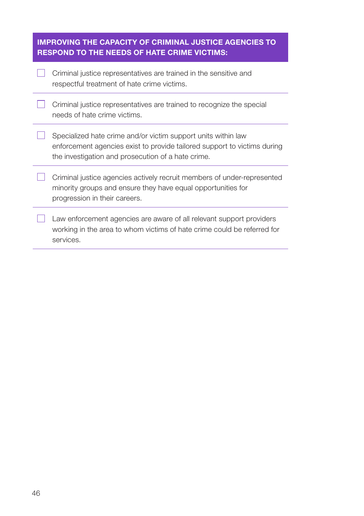| <b>IMPROVING THE CAPACITY OF CRIMINAL JUSTICE AGENCIES TO</b><br><b>RESPOND TO THE NEEDS OF HATE CRIME VICTIMS:</b> |                                                                                                                                                                                                 |  |  |
|---------------------------------------------------------------------------------------------------------------------|-------------------------------------------------------------------------------------------------------------------------------------------------------------------------------------------------|--|--|
|                                                                                                                     | Criminal justice representatives are trained in the sensitive and<br>respectful treatment of hate crime victims.                                                                                |  |  |
|                                                                                                                     | Criminal justice representatives are trained to recognize the special<br>needs of hate crime victims.                                                                                           |  |  |
|                                                                                                                     | Specialized hate crime and/or victim support units within law<br>enforcement agencies exist to provide tailored support to victims during<br>the investigation and prosecution of a hate crime. |  |  |
|                                                                                                                     | Criminal justice agencies actively recruit members of under-represented<br>minority groups and ensure they have equal opportunities for<br>progression in their careers.                        |  |  |
|                                                                                                                     | Law enforcement agencies are aware of all relevant support providers<br>working in the area to whom victims of hate crime could be referred for<br>services.                                    |  |  |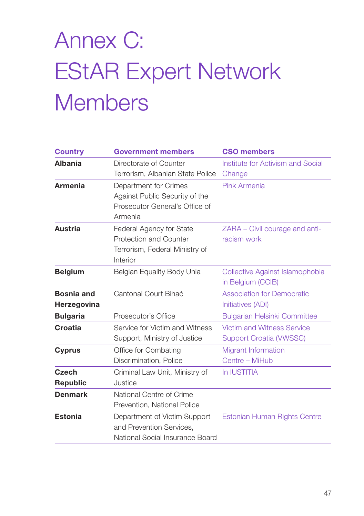# <span id="page-48-0"></span>Annex C: EStAR Expert Network **Members**

| <b>Country</b>    | <b>Government members</b>        | <b>CSO members</b>                  |
|-------------------|----------------------------------|-------------------------------------|
| <b>Albania</b>    | Directorate of Counter           | Institute for Activism and Social   |
|                   | Terrorism, Albanian State Police | Change                              |
| <b>Armenia</b>    | Department for Crimes            | Pink Armenia                        |
|                   | Against Public Security of the   |                                     |
|                   | Prosecutor General's Office of   |                                     |
|                   | Armenia                          |                                     |
| <b>Austria</b>    | Federal Agency for State         | ZARA - Civil courage and anti-      |
|                   | Protection and Counter           | racism work                         |
|                   | Terrorism, Federal Ministry of   |                                     |
|                   | Interior                         |                                     |
| <b>Belgium</b>    | Belgian Equality Body Unia       | Collective Against Islamophobia     |
|                   |                                  | in Belgium (CCIB)                   |
| <b>Bosnia and</b> | Cantonal Court Bihać             | <b>Association for Democratic</b>   |
| Herzegovina       |                                  | Initiatives (ADI)                   |
| <b>Bulgaria</b>   | Prosecutor's Office              | <b>Bulgarian Helsinki Committee</b> |
| Croatia           | Service for Victim and Witness   | <b>Victim and Witness Service</b>   |
|                   | Support, Ministry of Justice     | <b>Support Croatia (VWSSC)</b>      |
| <b>Cyprus</b>     | Office for Combating             | <b>Migrant Information</b>          |
|                   | Discrimination, Police           | Centre - MiHub                      |
| Czech             | Criminal Law Unit, Ministry of   | In IUSTITIA                         |
| <b>Republic</b>   | Justice                          |                                     |
| <b>Denmark</b>    | National Centre of Crime         |                                     |
|                   | Prevention, National Police      |                                     |
| <b>Estonia</b>    | Department of Victim Support     | Estonian Human Rights Centre        |
|                   | and Prevention Services,         |                                     |
|                   | National Social Insurance Board  |                                     |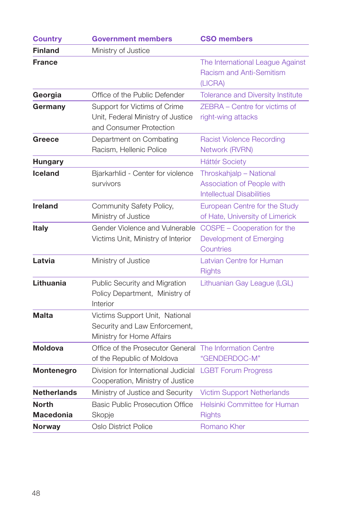| <b>Country</b>                   | <b>Government members</b>                                                                    | <b>CSO members</b>                                                                        |  |
|----------------------------------|----------------------------------------------------------------------------------------------|-------------------------------------------------------------------------------------------|--|
| <b>Finland</b>                   | Ministry of Justice                                                                          |                                                                                           |  |
| <b>France</b>                    |                                                                                              | The International League Against<br><b>Racism and Anti-Semitism</b><br>(LICRA)            |  |
| Georgia                          | Office of the Public Defender                                                                | <b>Tolerance and Diversity Institute</b>                                                  |  |
| Germany                          | Support for Victims of Crime<br>Unit, Federal Ministry of Justice<br>and Consumer Protection | ZEBRA - Centre for victims of<br>right-wing attacks                                       |  |
| Greece                           | Department on Combating<br>Racism, Hellenic Police                                           | <b>Racist Violence Recording</b><br>Network (RVRN)                                        |  |
| <b>Hungary</b>                   |                                                                                              | <b>Háttér Society</b>                                                                     |  |
| <b>Iceland</b>                   | Bjarkarhlid - Center for violence<br>survivors                                               | Throskahjalp - National<br>Association of People with<br><b>Intellectual Disabilities</b> |  |
| Ireland                          | Community Safety Policy,<br>Ministry of Justice                                              | European Centre for the Study<br>of Hate, University of Limerick                          |  |
| <b>Italy</b>                     | Gender Violence and Vulnerable<br>Victims Unit, Ministry of Interior                         | COSPE - Cooperation for the<br>Development of Emerging<br>Countries                       |  |
| Latvia                           | Ministry of Justice                                                                          | Latvian Centre for Human<br><b>Rights</b>                                                 |  |
| Lithuania                        | Public Security and Migration<br>Policy Department, Ministry of<br>Interior                  | Lithuanian Gay League (LGL)                                                               |  |
| Malta                            | Victims Support Unit, National<br>Security and Law Enforcement,<br>Ministry for Home Affairs |                                                                                           |  |
| <b>Moldova</b>                   | Office of the Prosecutor General<br>of the Republic of Moldova                               | The Information Centre<br>"GENDERDOC-M"                                                   |  |
| Montenegro                       | Division for International Judicial<br>Cooperation, Ministry of Justice                      | <b>LGBT Forum Progress</b>                                                                |  |
| <b>Netherlands</b>               | Ministry of Justice and Security                                                             | <b>Victim Support Netherlands</b>                                                         |  |
| <b>North</b><br><b>Macedonia</b> | <b>Basic Public Prosecution Office</b><br>Skopje                                             | Helsinki Committee for Human<br><b>Rights</b>                                             |  |
| <b>Norway</b>                    | Oslo District Police                                                                         | Romano Kher                                                                               |  |